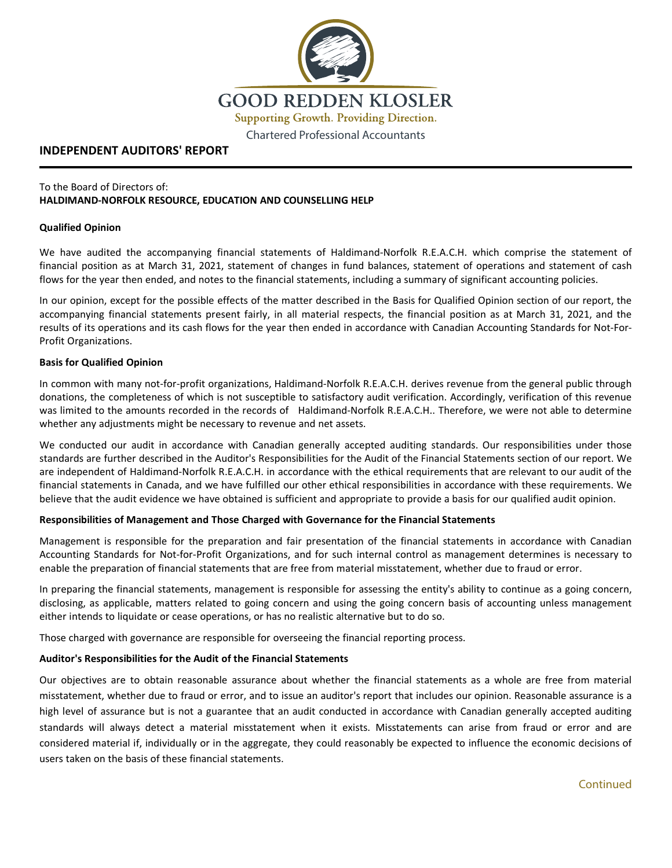

# **INDEPENDENT AUDITORS' REPORT**

# To the Board of Directors of: **HALDIMAND-NORFOLK RESOURCE, EDUCATION AND COUNSELLING HELP**

## **Qualified Opinion**

We have audited the accompanying financial statements of Haldimand-Norfolk R.E.A.C.H. which comprise the statement of financial position as at March 31, 2021, statement of changes in fund balances, statement of operations and statement of cash flows for the year then ended, and notes to the financial statements, including a summary of significant accounting policies.

In our opinion, except for the possible effects of the matter described in the Basis for Qualified Opinion section of our report, the accompanying financial statements present fairly, in all material respects, the financial position as at March 31, 2021, and the results of its operations and its cash flows for the year then ended in accordance with Canadian Accounting Standards for Not-For-Profit Organizations.

## **Basis for Qualified Opinion**

In common with many not-for-profit organizations, Haldimand-Norfolk R.E.A.C.H. derives revenue from the general public through donations, the completeness of which is not susceptible to satisfactory audit verification. Accordingly, verification of this revenue was limited to the amounts recorded in the records of Haldimand-Norfolk R.E.A.C.H.. Therefore, we were not able to determine whether any adjustments might be necessary to revenue and net assets.

We conducted our audit in accordance with Canadian generally accepted auditing standards. Our responsibilities under those standards are further described in the Auditor's Responsibilities for the Audit of the Financial Statements section of our report. We are independent of Haldimand-Norfolk R.E.A.C.H. in accordance with the ethical requirements that are relevant to our audit of the financial statements in Canada, and we have fulfilled our other ethical responsibilities in accordance with these requirements. We believe that the audit evidence we have obtained is sufficient and appropriate to provide a basis for our qualified audit opinion.

# **Responsibilities of Management and Those Charged with Governance for the Financial Statements**

Management is responsible for the preparation and fair presentation of the financial statements in accordance with Canadian Accounting Standards for Not-for-Profit Organizations, and for such internal control as management determines is necessary to enable the preparation of financial statements that are free from material misstatement, whether due to fraud or error.

In preparing the financial statements, management is responsible for assessing the entity's ability to continue as a going concern, disclosing, as applicable, matters related to going concern and using the going concern basis of accounting unless management either intends to liquidate or cease operations, or has no realistic alternative but to do so.

Those charged with governance are responsible for overseeing the financial reporting process.

# **Auditor's Responsibilities for the Audit of the Financial Statements**

Our objectives are to obtain reasonable assurance about whether the financial statements as a whole are free from material misstatement, whether due to fraud or error, and to issue an auditor's report that includes our opinion. Reasonable assurance is a high level of assurance but is not a guarantee that an audit conducted in accordance with Canadian generally accepted auditing standards will always detect a material misstatement when it exists. Misstatements can arise from fraud or error and are considered material if, individually or in the aggregate, they could reasonably be expected to influence the economic decisions of users taken on the basis of these financial statements.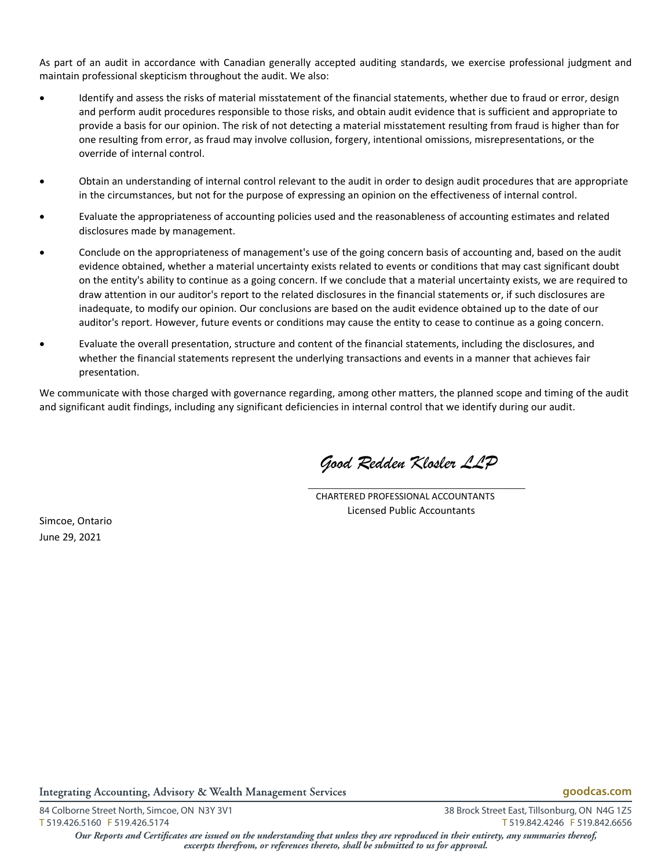As part of an audit in accordance with Canadian generally accepted auditing standards, we exercise professional judgment and maintain professional skepticism throughout the audit. We also:

- one resulting from error, as fraud may involve collusion, forgery, intentional omissions, misrepresentations, or the Identify and assess the risks of material misstatement of the financial statements, whether due to fraud or error, design and perform audit procedures responsible to those risks, and obtain audit evidence that is sufficient and appropriate to provide a basis for our opinion. The risk of not detecting a material misstatement resulting from fraud is higher than for override of internal control.
- Obtain an understanding of internal control relevant to the audit in order to design audit procedures that are appropriate in the circumstances, but not for the purpose of expressing an opinion on the effectiveness of internal control.
- Evaluate the appropriateness of accounting policies used and the reasonableness of accounting estimates and related disclosures made by management.
- · Conclude on the appropriateness of management's use of the going concern basis of accounting and, based on the audit evidence obtained, whether a material uncertainty exists related to events or conditions that may cast significant doubt on the entity's ability to continue as a going concern. If we conclude that a material uncertainty exists, we are required to draw attention in our auditor's report to the related disclosures in the financial statements or, if such disclosures are inadequate, to modify our opinion. Our conclusions are based on the audit evidence obtained up to the date of our auditor's report. However, future events or conditions may cause the entity to cease to continue as a going concern.
- Evaluate the overall presentation, structure and content of the financial statements, including the disclosures, and whether the financial statements represent the underlying transactions and events in a manner that achieves fair presentation.

We communicate with those charged with governance regarding, among other matters, the planned scope and timing of the audit and significant audit findings, including any significant deficiencies in internal control that we identify during our audit.

*Good Redden Klosler LLP*

CHARTERED PROFESSIONAL ACCOUNTANTS Licensed Public Accountants

Simcoe, Ontario June 29, 2021

Integrating Accounting, Advisory & Wealth Management Services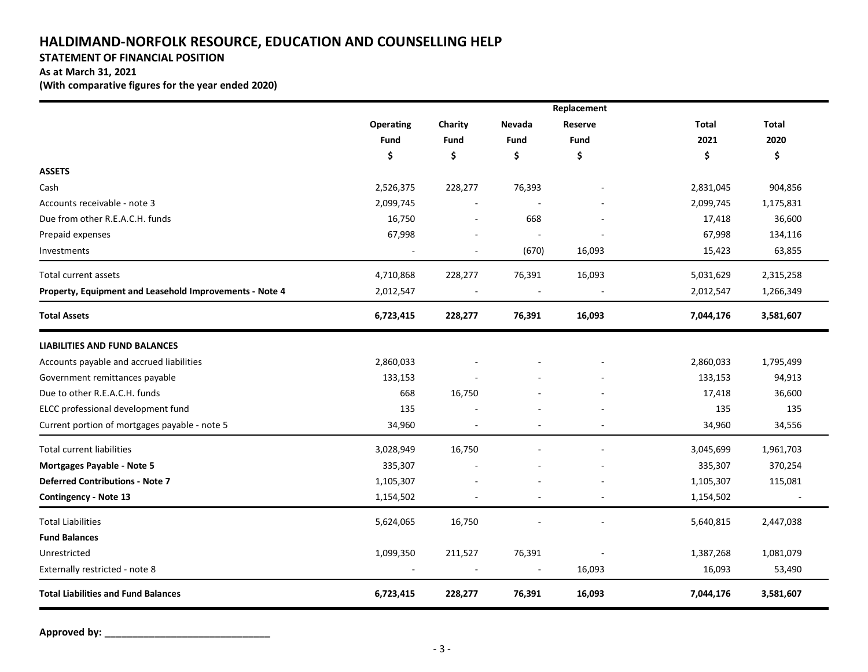# **STATEMENT OF FINANCIAL POSITION**

# **As at March 31, 2021**

**(With comparative figures for the year ended 2020)**

|                                                         |                  |                          |                          | Replacement |              |                          |
|---------------------------------------------------------|------------------|--------------------------|--------------------------|-------------|--------------|--------------------------|
|                                                         | <b>Operating</b> | Charity                  | Nevada                   | Reserve     | <b>Total</b> | <b>Total</b>             |
|                                                         | Fund             | Fund                     | Fund                     | Fund        | 2021         | 2020                     |
|                                                         | \$               | \$                       | \$                       | \$          | \$           | \$                       |
| <b>ASSETS</b>                                           |                  |                          |                          |             |              |                          |
| Cash                                                    | 2,526,375        | 228,277                  | 76,393                   |             | 2,831,045    | 904,856                  |
| Accounts receivable - note 3                            | 2,099,745        | $\sim$                   | $\overline{a}$           |             | 2,099,745    | 1,175,831                |
| Due from other R.E.A.C.H. funds                         | 16,750           | ÷                        | 668                      |             | 17,418       | 36,600                   |
| Prepaid expenses                                        | 67,998           | $\blacksquare$           | $\overline{\phantom{a}}$ |             | 67,998       | 134,116                  |
| Investments                                             |                  | ÷,                       | (670)                    | 16,093      | 15,423       | 63,855                   |
| Total current assets                                    | 4,710,868        | 228,277                  | 76,391                   | 16,093      | 5,031,629    | 2,315,258                |
| Property, Equipment and Leasehold Improvements - Note 4 | 2,012,547        | $\sim$                   | $\sim$                   |             | 2,012,547    | 1,266,349                |
| <b>Total Assets</b>                                     | 6,723,415        | 228,277                  | 76,391                   | 16,093      | 7,044,176    | 3,581,607                |
| <b>LIABILITIES AND FUND BALANCES</b>                    |                  |                          |                          |             |              |                          |
| Accounts payable and accrued liabilities                | 2,860,033        |                          |                          |             | 2,860,033    | 1,795,499                |
| Government remittances payable                          | 133,153          |                          |                          |             | 133,153      | 94,913                   |
| Due to other R.E.A.C.H. funds                           | 668              | 16,750                   |                          |             | 17,418       | 36,600                   |
| ELCC professional development fund                      | 135              |                          |                          |             | 135          | 135                      |
| Current portion of mortgages payable - note 5           | 34,960           | ÷,                       |                          |             | 34,960       | 34,556                   |
| <b>Total current liabilities</b>                        | 3,028,949        | 16,750                   |                          |             | 3,045,699    | 1,961,703                |
| Mortgages Payable - Note 5                              | 335,307          |                          |                          |             | 335,307      | 370,254                  |
| <b>Deferred Contributions - Note 7</b>                  | 1,105,307        |                          |                          |             | 1,105,307    | 115,081                  |
| Contingency - Note 13                                   | 1,154,502        |                          |                          |             | 1,154,502    | $\overline{\phantom{a}}$ |
| <b>Total Liabilities</b>                                | 5,624,065        | 16,750                   |                          |             | 5,640,815    | 2,447,038                |
| <b>Fund Balances</b>                                    |                  |                          |                          |             |              |                          |
| Unrestricted                                            | 1,099,350        | 211,527                  | 76,391                   |             | 1,387,268    | 1,081,079                |
| Externally restricted - note 8                          |                  | $\overline{\phantom{a}}$ | $\blacksquare$           | 16,093      | 16,093       | 53,490                   |
| <b>Total Liabilities and Fund Balances</b>              | 6,723,415        | 228,277                  | 76,391                   | 16,093      | 7,044,176    | 3,581,607                |

**Approved by: \_\_\_\_\_\_\_\_\_\_\_\_\_\_\_\_\_\_\_\_\_\_\_\_\_\_\_\_\_\_**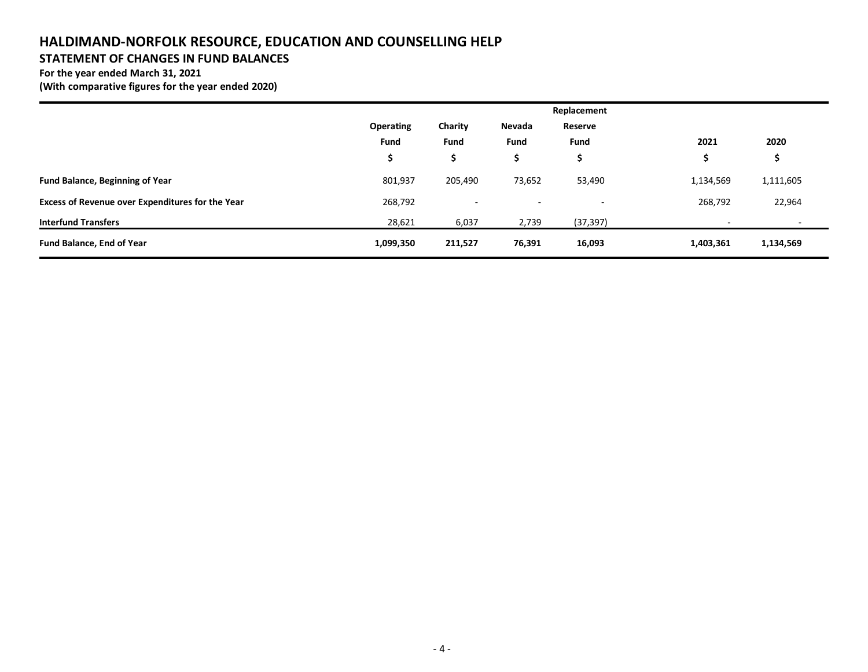**STATEMENT OF CHANGES IN FUND BALANCES**

**For the year ended March 31, 2021**

**(With comparative figures for the year ended 2020)**

|                                                  |                  |                          |        | Replacement              |           |           |
|--------------------------------------------------|------------------|--------------------------|--------|--------------------------|-----------|-----------|
|                                                  | <b>Operating</b> | Charity                  | Nevada | Reserve                  |           |           |
|                                                  | <b>Fund</b>      | Fund                     | Fund   | Fund                     | 2021      | 2020      |
|                                                  |                  | ১                        | \$     | \$                       |           |           |
| <b>Fund Balance, Beginning of Year</b>           | 801,937          | 205,490                  | 73,652 | 53,490                   | 1,134,569 | 1,111,605 |
| Excess of Revenue over Expenditures for the Year | 268,792          | $\overline{\phantom{0}}$ | $\sim$ | $\overline{\phantom{a}}$ | 268,792   | 22,964    |
| <b>Interfund Transfers</b>                       | 28,621           | 6,037                    | 2,739  | (37, 397)                |           |           |
| <b>Fund Balance, End of Year</b>                 | 1,099,350        | 211,527                  | 76,391 | 16,093                   | 1,403,361 | 1,134,569 |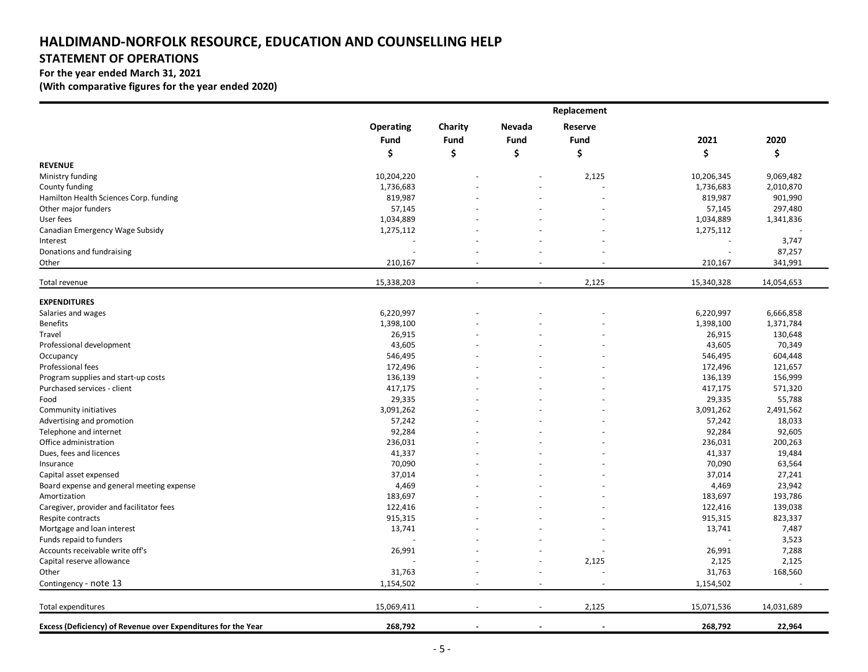# **STATEMENT OF OPERATIONS**

**For the year ended March 31, 2021**

**(With comparative figures for the year ended 2020)**

|                                                               |                  |         |               | Replacement              |            |            |
|---------------------------------------------------------------|------------------|---------|---------------|--------------------------|------------|------------|
|                                                               | <b>Operating</b> | Charity | <b>Nevada</b> | <b>Reserve</b>           |            |            |
|                                                               | Fund             | Fund    | Fund          | Fund                     | 2021       | 2020       |
|                                                               | \$               | \$      | \$            | \$                       | \$         | \$         |
| <b>REVENUE</b>                                                |                  |         |               |                          |            |            |
| Ministry funding                                              | 10,204,220       |         |               | 2,125                    | 10,206,345 | 9,069,482  |
| County funding                                                | 1,736,683        |         |               |                          | 1,736,683  | 2,010,870  |
| Hamilton Health Sciences Corp. funding                        | 819,987          |         |               |                          | 819,987    | 901,990    |
| Other major funders                                           | 57,145           |         |               |                          | 57,145     | 297,480    |
| User fees                                                     | 1,034,889        |         |               |                          | 1,034,889  | 1,341,836  |
| Canadian Emergency Wage Subsidy                               | 1,275,112        |         |               |                          | 1,275,112  |            |
| Interest                                                      |                  |         |               |                          | ÷.         | 3,747      |
| Donations and fundraising                                     |                  |         |               |                          | ÷.         | 87,257     |
| Other                                                         | 210,167          |         |               |                          | 210,167    | 341,991    |
|                                                               |                  |         |               |                          |            |            |
| Total revenue                                                 | 15,338,203       |         |               | 2,125                    | 15,340,328 | 14,054,653 |
| <b>EXPENDITURES</b>                                           |                  |         |               |                          |            |            |
| Salaries and wages                                            | 6,220,997        |         |               |                          | 6,220,997  | 6,666,858  |
| <b>Benefits</b>                                               | 1,398,100        |         |               |                          | 1,398,100  | 1,371,784  |
| Travel                                                        | 26,915           |         |               |                          | 26,915     | 130,648    |
| Professional development                                      | 43,605           |         |               |                          | 43,605     | 70,349     |
| Occupancy                                                     | 546,495          |         |               |                          | 546,495    | 604,448    |
| Professional fees                                             | 172,496          |         |               |                          | 172,496    | 121,657    |
| Program supplies and start-up costs                           | 136,139          |         |               |                          | 136,139    | 156,999    |
| Purchased services - client                                   | 417,175          |         |               |                          | 417,175    | 571,320    |
| Food                                                          | 29,335           |         |               |                          | 29,335     | 55,788     |
| Community initiatives                                         | 3,091,262        |         |               |                          | 3,091,262  | 2,491,562  |
| Advertising and promotion                                     | 57,242           |         |               |                          | 57,242     | 18,033     |
| Telephone and internet                                        | 92,284           |         |               |                          | 92,284     | 92,605     |
| Office administration                                         | 236,031          |         |               |                          | 236,031    | 200,263    |
| Dues, fees and licences                                       | 41,337           |         |               |                          | 41,337     | 19,484     |
| Insurance                                                     | 70,090           |         |               |                          | 70,090     | 63,564     |
| Capital asset expensed                                        | 37,014           |         |               |                          | 37,014     | 27,241     |
| Board expense and general meeting expense                     | 4,469            |         |               |                          | 4,469      | 23,942     |
| Amortization                                                  | 183,697          |         |               |                          | 183,697    | 193,786    |
| Caregiver, provider and facilitator fees                      | 122,416          |         |               |                          | 122,416    | 139,038    |
| Respite contracts                                             | 915,315          |         |               |                          | 915,315    | 823,337    |
| Mortgage and loan interest                                    | 13,741           |         |               |                          | 13,741     | 7,487      |
| Funds repaid to funders                                       |                  |         |               |                          |            | 3,523      |
| Accounts receivable write off's                               | 26,991           |         |               |                          | 26,991     | 7,288      |
| Capital reserve allowance                                     |                  |         |               | 2,125                    | 2,125      | 2,125      |
| Other                                                         | 31,763           |         |               |                          | 31,763     | 168,560    |
| Contingency - note 13                                         | 1,154,502        |         |               | ÷,                       | 1,154,502  | $\sim$     |
| <b>Total expenditures</b>                                     | 15,069,411       |         |               | 2,125                    | 15,071,536 | 14,031,689 |
|                                                               |                  |         |               |                          |            |            |
| Excess (Deficiency) of Revenue over Expenditures for the Year | 268,792          | $\sim$  |               | $\overline{\phantom{a}}$ | 268,792    | 22,964     |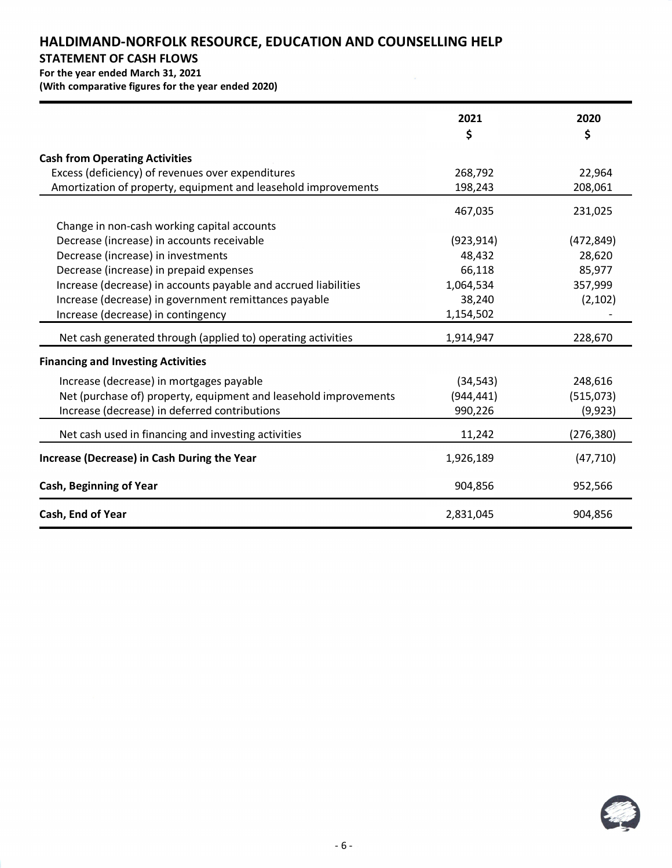# **STATEMENT OF CASH FLOWS**

**For the year ended March 31, 2021**

**(With comparative figures for the year ended 2020)**

|                                                                  | 2021       | 2020       |
|------------------------------------------------------------------|------------|------------|
|                                                                  | \$         | \$         |
| <b>Cash from Operating Activities</b>                            |            |            |
| Excess (deficiency) of revenues over expenditures                | 268,792    | 22,964     |
| Amortization of property, equipment and leasehold improvements   | 198,243    | 208,061    |
|                                                                  | 467,035    | 231,025    |
| Change in non-cash working capital accounts                      |            |            |
| Decrease (increase) in accounts receivable                       | (923, 914) | (472, 849) |
| Decrease (increase) in investments                               | 48,432     | 28,620     |
| Decrease (increase) in prepaid expenses                          | 66,118     | 85,977     |
| Increase (decrease) in accounts payable and accrued liabilities  | 1,064,534  | 357,999    |
| Increase (decrease) in government remittances payable            | 38,240     | (2, 102)   |
| Increase (decrease) in contingency                               | 1,154,502  |            |
| Net cash generated through (applied to) operating activities     | 1,914,947  | 228,670    |
| <b>Financing and Investing Activities</b>                        |            |            |
| Increase (decrease) in mortgages payable                         | (34, 543)  | 248,616    |
| Net (purchase of) property, equipment and leasehold improvements | (944, 441) | (515,073)  |
| Increase (decrease) in deferred contributions                    | 990,226    | (9,923)    |
| Net cash used in financing and investing activities              | 11,242     | (276, 380) |
| Increase (Decrease) in Cash During the Year                      | 1,926,189  | (47, 710)  |
| <b>Cash, Beginning of Year</b>                                   | 904,856    | 952,566    |
| Cash, End of Year                                                | 2,831,045  | 904,856    |

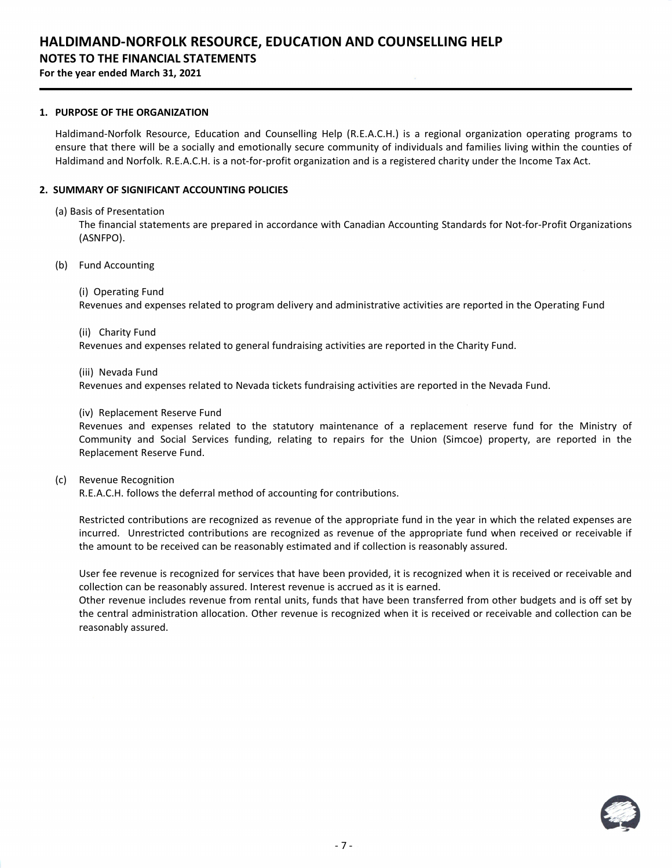## **1. PURPOSE OF THE ORGANIZATION**

Haldimand-Norfolk Resource, Education and Counselling Help (R.E.A.C.H.) is a regional organization operating programs to ensure that there will be a socially and emotionally secure community of individuals and families living within the counties of Haldimand and Norfolk. R.E.A.C.H. is a not-for-profit organization and is a registered charity under the Income Tax Act.

## **2. SUMMARY OF SIGNIFICANT ACCOUNTING POLICIES**

#### (a) Basis of Presentation

The financial statements are prepared in accordance with Canadian Accounting Standards for Not-for-Profit Organizations (ASNFPO).

#### (b) Fund Accounting

#### (i) Operating Fund

Revenues and expenses related to program delivery and administrative activities are reported in the Operating Fund

#### (ii) Charity Fund

Revenues and expenses related to general fundraising activities are reported in the Charity Fund.

#### (iii) Nevada Fund

Revenues and expenses related to Nevada tickets fundraising activities are reported in the Nevada Fund.

#### (iv) Replacement Reserve Fund

Revenues and expenses related to the statutory maintenance of a replacement reserve fund for the Ministry of Community and Social Services funding, relating to repairs for the Union (Simcoe) property, are reported in the Replacement Reserve Fund.

## (c) Revenue Recognition

R.E.A.C.H. follows the deferral method of accounting for contributions.

Restricted contributions are recognized as revenue of the appropriate fund in the year in which the related expenses are incurred. Unrestricted contributions are recognized as revenue of the appropriate fund when received or receivable if the amount to be received can be reasonably estimated and if collection is reasonably assured.

User fee revenue is recognized for services that have been provided, it is recognized when it is received or receivable and collection can be reasonably assured. Interest revenue is accrued as it is earned.

Other revenue includes revenue from rental units, funds that have been transferred from other budgets and is off set by the central administration allocation. Other revenue is recognized when it is received or receivable and collection can be reasonably assured.

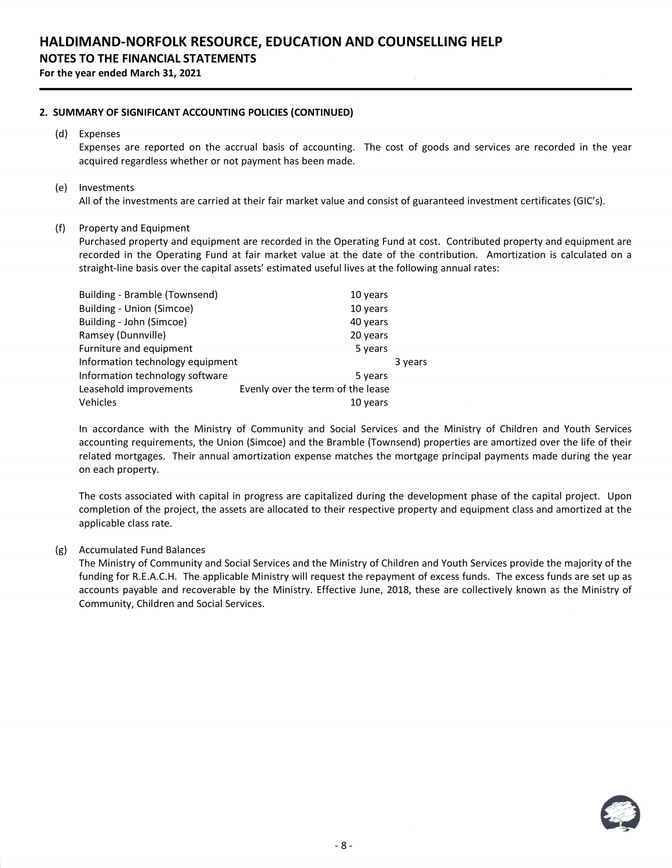# **HALDIMAND-NORFOLK RESOURCE, EDUCATION AND COUNSELLING HELP NOTES TO THE FINANCIAL STATEMENTS**

**For the year ended March 31, 2021**

# **2. SUMMARY OF SIGNIFICANT ACCOUNTING POLICIES (CONTINUED)**

#### (d) Expenses

Expenses are reported on the accrual basis of accounting. The cost of goods and services are recorded in the year acquired regardless whether or not payment has been made.

(e) Investments

All of the investments are carried at their fair market value and consist of guaranteed investment certificates (GIC's).

#### (f) Property and Equipment

Purchased property and equipment are recorded in the Operating Fund at cost. Contributed property and equipment are recorded in the Operating Fund at fair market value at the date of the contribution. Amortization is calculated on a straight-line basis over the capital assets' estimated useful lives at the following annual rates:

| Building - Bramble (Townsend)    | 10 years                          |         |
|----------------------------------|-----------------------------------|---------|
| Building - Union (Simcoe)        | 10 years                          |         |
| Building - John (Simcoe)         | 40 years                          |         |
| Ramsey (Dunnville)               | 20 years                          |         |
| Furniture and equipment          | 5 years                           |         |
| Information technology equipment |                                   | 3 years |
| Information technology software  | 5 years                           |         |
| Leasehold improvements           | Evenly over the term of the lease |         |
| Vehicles                         | 10 years                          |         |

In accordance with the Ministry of Community and Social Services and the Ministry of Children and Youth Services accounting requirements, the Union (Simcoe) and the Bramble (Townsend) properties are amortized over the life of their related mortgages. Their annual amortization expense matches the mortgage principal payments made during the year on each property.

The costs associated with capital in progress are capitalized during the development phase of the capital project. Upon completion of the project, the assets are allocated to their respective property and equipment class and amortized at the applicable class rate.

# (g) Accumulated Fund Balances

The Ministry of Community and Social Services and the Ministry of Children and Youth Services provide the majority of the funding for R.E.A.C.H. The applicable Ministry will request the repayment of excess funds. The excess funds are set up as accounts payable and recoverable by the Ministry. Effective June, 2018, these are collectively known as the Ministry of Community, Children and Social Services.

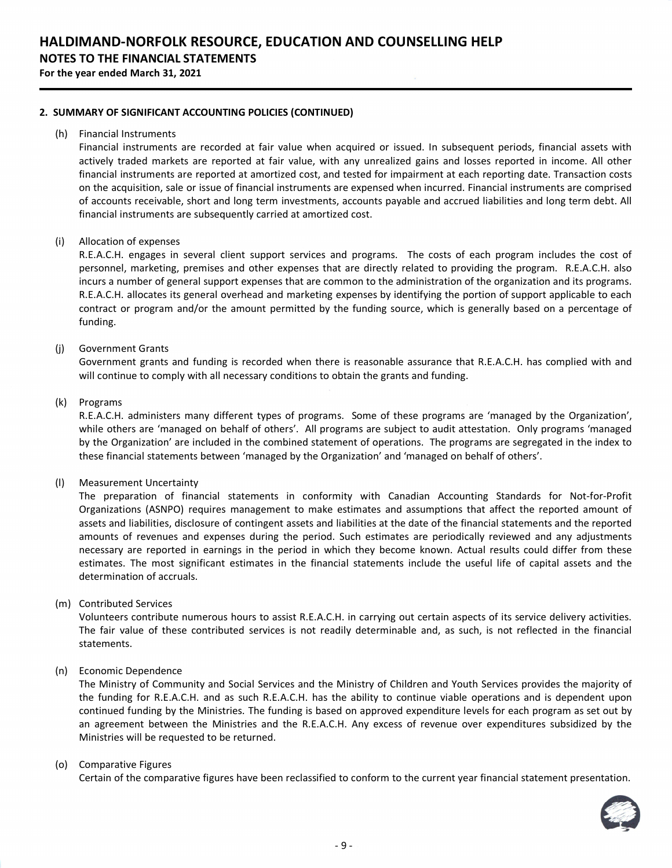# **2. SUMMARY OF SIGNIFICANT ACCOUNTING POLICIES (CONTINUED)**

#### (h) Financial Instruments

Financial instruments are recorded at fair value when acquired or issued. In subsequent periods, financial assets with actively traded markets are reported at fair value, with any unrealized gains and losses reported in income. All other financial instruments are reported at amortized cost, and tested for impairment at each reporting date. Transaction costs on the acquisition, sale or issue of financial instruments are expensed when incurred. Financial instruments are comprised of accounts receivable, short and long term investments, accounts payable and accrued liabilities and long term debt. All financial instruments are subsequently carried at amortized cost.

## (i) Allocation of expenses

R.E.A.C.H. engages in several client support services and programs. The costs of each program includes the cost of personnel, marketing, premises and other expenses that are directly related to providing the program. R.E.A.C.H. also incurs a number of general support expenses that are common to the administration of the organization and its programs. R.E.A.C.H. allocates its general overhead and marketing expenses by identifying the portion of support applicable to each contract or program and/or the amount permitted by the funding source, which is generally based on a percentage of funding.

## (j) Government Grants

Government grants and funding is recorded when there is reasonable assurance that R.E.A.C.H. has complied with and will continue to comply with all necessary conditions to obtain the grants and funding.

#### (k) Programs

R.E.A.C.H. administers many different types of programs. Some of these programs are 'managed by the Organization', while others are 'managed on behalf of others'. All programs are subject to audit attestation. Only programs 'managed by the Organization' are included in the combined statement of operations. The programs are segregated in the index to these financial statements between 'managed by the Organization' and 'managed on behalf of others'.

(l) Measurement Uncertainty

The preparation of financial statements in conformity with Canadian Accounting Standards for Not-for-Profit Organizations (ASNPO) requires management to make estimates and assumptions that affect the reported amount of assets and liabilities, disclosure of contingent assets and liabilities at the date of the financial statements and the reported amounts of revenues and expenses during the period. Such estimates are periodically reviewed and any adjustments necessary are reported in earnings in the period in which they become known. Actual results could differ from these estimates. The most significant estimates in the financial statements include the useful life of capital assets and the determination of accruals.

#### (m) Contributed Services

Volunteers contribute numerous hours to assist R.E.A.C.H. in carrying out certain aspects of its service delivery activities. The fair value of these contributed services is not readily determinable and, as such, is not reflected in the financial statements.

# (n) Economic Dependence

The Ministry of Community and Social Services and the Ministry of Children and Youth Services provides the majority of the funding for R.E.A.C.H. and as such R.E.A.C.H. has the ability to continue viable operations and is dependent upon continued funding by the Ministries. The funding is based on approved expenditure levels for each program as set out by an agreement between the Ministries and the R.E.A.C.H. Any excess of revenue over expenditures subsidized by the Ministries will be requested to be returned.

## (o) Comparative Figures

Certain of the comparative figures have been reclassified to conform to the current year financial statement presentation.

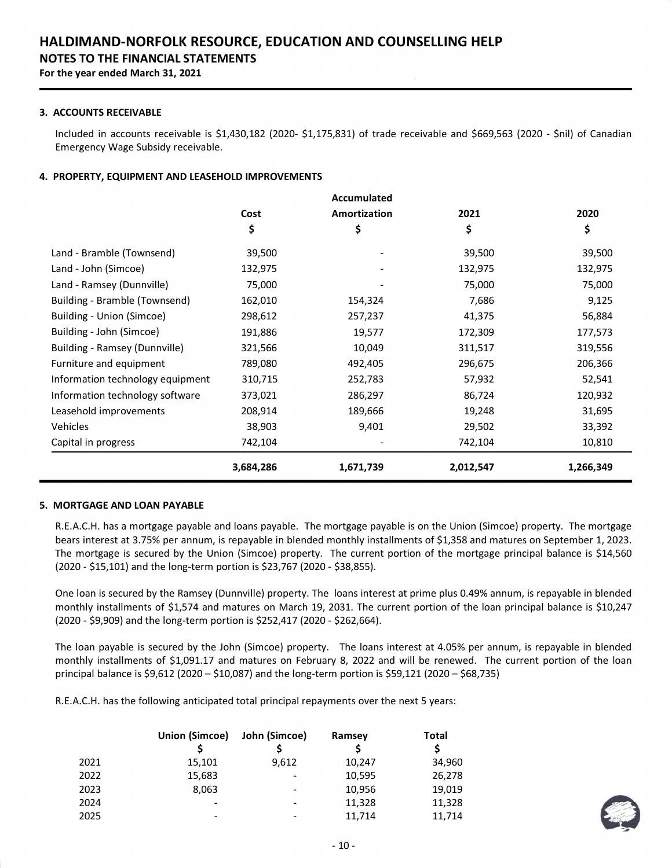## **3. ACCOUNTS RECEIVABLE**

Included in accounts receivable is \$1,430,182 (2020- \$1,175,831) of trade receivable and \$669,563 (2020 - \$nil) of Canadian Emergency Wage Subsidy receivable.

# **4. PROPERTY, EQUIPMENT AND LEASEHOLD IMPROVEMENTS**

| Accumulated                      |           |              |           |           |
|----------------------------------|-----------|--------------|-----------|-----------|
|                                  | Cost      | Amortization | 2021      | 2020      |
|                                  | \$        | \$           | \$        | \$        |
| Land - Bramble (Townsend)        | 39,500    |              | 39,500    | 39,500    |
| Land - John (Simcoe)             | 132,975   |              | 132,975   | 132,975   |
| Land - Ramsey (Dunnville)        | 75,000    |              | 75,000    | 75,000    |
| Building - Bramble (Townsend)    | 162,010   | 154,324      | 7,686     | 9,125     |
| Building - Union (Simcoe)        | 298,612   | 257,237      | 41,375    | 56,884    |
| Building - John (Simcoe)         | 191,886   | 19,577       | 172,309   | 177,573   |
| Building - Ramsey (Dunnville)    | 321,566   | 10,049       | 311,517   | 319,556   |
| Furniture and equipment          | 789,080   | 492,405      | 296,675   | 206,366   |
| Information technology equipment | 310,715   | 252,783      | 57,932    | 52,541    |
| Information technology software  | 373,021   | 286,297      | 86,724    | 120,932   |
| Leasehold improvements           | 208,914   | 189,666      | 19,248    | 31,695    |
| Vehicles                         | 38,903    | 9,401        | 29,502    | 33,392    |
| Capital in progress              | 742,104   |              | 742,104   | 10,810    |
|                                  | 3,684,286 | 1,671,739    | 2,012,547 | 1,266,349 |

# **5. MORTGAGE AND LOAN PAYABLE**

R.E.A.C.H. has a mortgage payable and loans payable. The mortgage payable is on the Union (Simcoe) property. The mortgage bears interest at 3.75% per annum, is repayable in blended monthly installments of \$1,358 and matures on September 1, 2023. The mortgage is secured by the Union (Simcoe) property. The current portion of the mortgage principal balance is \$14,560 (2020 - \$15,101) and the long-term portion is \$23,767 (2020 - \$38,855).

One loan is secured by the Ramsey (Dunnville) property. The loans interest at prime plus 0.49% annum, is repayable in blended monthly installments of \$1,574 and matures on March 19, 2031. The current portion of the loan principal balance is \$10,247 (2020 - \$9,909) and the long-term portion is \$252,417 (2020 - \$262,664).

The loan payable is secured by the John (Simcoe) property. The loans interest at 4.05% per annum, is repayable in blended monthly installments of \$1,091.17 and matures on February 8, 2022 and will be renewed. The current portion of the loan principal balance is \$9,612 (2020 – \$10,087) and the long-term portion is \$59,121 (2020 – \$68,735)

R.E.A.C.H. has the following anticipated total principal repayments over the next 5 years:

|      | Union (Simcoe) | John (Simcoe)                | Ramsey | Total<br>S |
|------|----------------|------------------------------|--------|------------|
| 2021 | 15,101         | 9,612                        | 10,247 | 34,960     |
| 2022 | 15,683         | $\overline{\phantom{a}}$     | 10,595 | 26,278     |
| 2023 | 8,063          | $\overline{\phantom{a}}$     | 10,956 | 19,019     |
| 2024 |                | $\overline{\phantom{a}}$     | 11,328 | 11,328     |
| 2025 | -              | $\qquad \qquad \blacksquare$ | 11,714 | 11.714     |

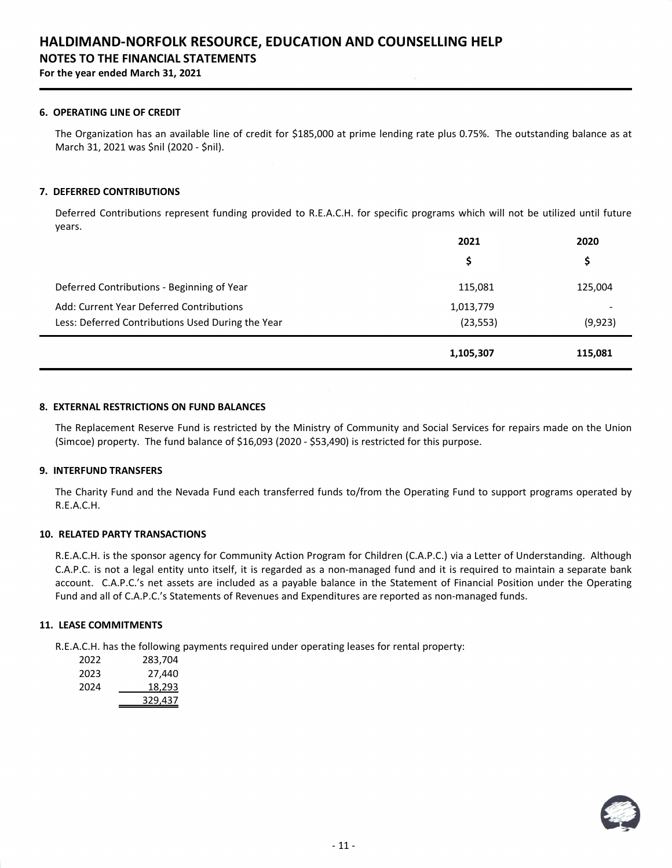# **HALDIMAND-NORFOLK RESOURCE, EDUCATION AND COUNSELLING HELP NOTES TO THE FINANCIAL STATEMENTS For the year ended March 31, 2021**

#### **6. OPERATING LINE OF CREDIT**

The Organization has an available line of credit for \$185,000 at prime lending rate plus 0.75%. The outstanding balance as at March 31, 2021 was \$nil (2020 - \$nil).

#### **7. DEFERRED CONTRIBUTIONS**

Deferred Contributions represent funding provided to R.E.A.C.H. for specific programs which will not be utilized until future years.

|                                                   | 2021      | 2020                         |
|---------------------------------------------------|-----------|------------------------------|
|                                                   | \$        |                              |
| Deferred Contributions - Beginning of Year        | 115,081   | 125,004                      |
| Add: Current Year Deferred Contributions          | 1,013,779 | $\qquad \qquad \blacksquare$ |
| Less: Deferred Contributions Used During the Year | (23, 553) | (9,923)                      |
|                                                   | 1,105,307 | 115,081                      |

# **8. EXTERNAL RESTRICTIONS ON FUND BALANCES**

The Replacement Reserve Fund is restricted by the Ministry of Community and Social Services for repairs made on the Union (Simcoe) property. The fund balance of \$16,093 (2020 - \$53,490) is restricted for this purpose.

# **9. INTERFUND TRANSFERS**

The Charity Fund and the Nevada Fund each transferred funds to/from the Operating Fund to support programs operated by R.E.A.C.H.

#### **10. RELATED PARTY TRANSACTIONS**

R.E.A.C.H. is the sponsor agency for Community Action Program for Children (C.A.P.C.) via a Letter of Understanding. Although C.A.P.C. is not a legal entity unto itself, it is regarded as a non-managed fund and it is required to maintain a separate bank account. C.A.P.C.'s net assets are included as a payable balance in the Statement of Financial Position under the Operating Fund and all of C.A.P.C.'s Statements of Revenues and Expenditures are reported as non-managed funds.

## **11. LEASE COMMITMENTS**

R.E.A.C.H. has the following payments required under operating leases for rental property:

| 2022 | 283,704 |
|------|---------|
| 2023 | 27,440  |
| 2024 | 18.293  |
|      | 329,437 |